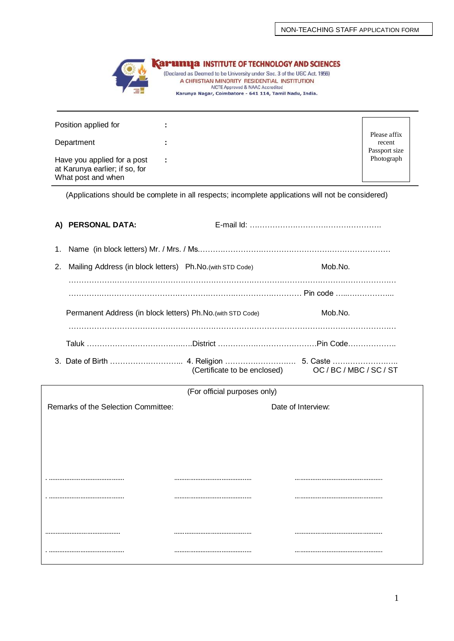

| Position applied for                                                                |                |                                         |
|-------------------------------------------------------------------------------------|----------------|-----------------------------------------|
| Department                                                                          |                | Please affix<br>recent<br>Passport size |
| Have you applied for a post<br>at Karunya earlier; if so, for<br>What post and when | $\blacksquare$ | Photograph                              |

(Applications should be complete in all respects; incomplete applications will not be considered)

|    | A) PERSONAL DATA:                                           |                              |                                                                |  |  |
|----|-------------------------------------------------------------|------------------------------|----------------------------------------------------------------|--|--|
| 1. |                                                             |                              |                                                                |  |  |
| 2. | Mailing Address (in block letters) Ph.No. (with STD Code)   |                              | Mob.No.                                                        |  |  |
|    |                                                             |                              |                                                                |  |  |
|    | Permanent Address (in block letters) Ph.No. (with STD Code) |                              | Mob.No.                                                        |  |  |
|    |                                                             |                              | Taluk ………………………………………District ……………………………………………Pin Code………………… |  |  |
|    |                                                             | (Certificate to be enclosed) | OC/BC/MBC/SC/ST                                                |  |  |
|    |                                                             | (For official purposes only) |                                                                |  |  |
|    | Remarks of the Selection Committee:                         |                              | Date of Interview:                                             |  |  |
|    |                                                             |                              |                                                                |  |  |
|    |                                                             |                              |                                                                |  |  |
|    |                                                             |                              |                                                                |  |  |
|    |                                                             |                              |                                                                |  |  |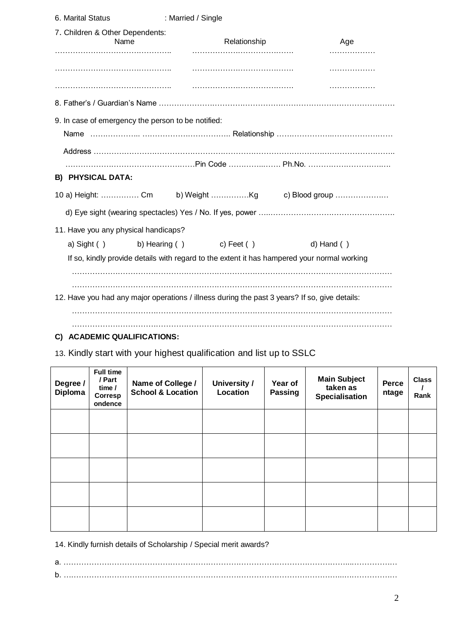| 6. Marital Status                                  | : Married / Single                                                                            |                 |
|----------------------------------------------------|-----------------------------------------------------------------------------------------------|-----------------|
| 7. Children & Other Dependents:<br>Name            | Relationship                                                                                  | Age             |
|                                                    |                                                                                               |                 |
|                                                    |                                                                                               | .               |
|                                                    |                                                                                               | .               |
|                                                    |                                                                                               |                 |
| 9. In case of emergency the person to be notified: |                                                                                               |                 |
|                                                    |                                                                                               |                 |
|                                                    |                                                                                               |                 |
|                                                    |                                                                                               |                 |
| <b>B) PHYSICAL DATA:</b>                           |                                                                                               |                 |
|                                                    |                                                                                               |                 |
|                                                    |                                                                                               |                 |
| 11. Have you any physical handicaps?               |                                                                                               |                 |
| a) Sight ()                                        | b) Hearing ( ) c) Feet ( )                                                                    | $d)$ Hand $( )$ |
|                                                    | If so, kindly provide details with regard to the extent it has hampered your normal working   |                 |
|                                                    |                                                                                               |                 |
|                                                    |                                                                                               |                 |
|                                                    | 12. Have you had any major operations / illness during the past 3 years? If so, give details: |                 |
|                                                    |                                                                                               |                 |
|                                                    |                                                                                               |                 |

# **C) ACADEMIC QUALIFICATIONS:**

13. Kindly start with your highest qualification and list up to SSLC

| Degree /<br>Diploma | Full time<br>/ Part<br>time /<br>Corresp<br>ondence | Name of College /<br><b>School &amp; Location</b> | <b>University /</b><br>Location | Year of<br><b>Passing</b> | <b>Main Subject</b><br>taken as<br>Specialisation | Perce<br>ntage | <b>Class</b><br>Rank |
|---------------------|-----------------------------------------------------|---------------------------------------------------|---------------------------------|---------------------------|---------------------------------------------------|----------------|----------------------|
|                     |                                                     |                                                   |                                 |                           |                                                   |                |                      |
|                     |                                                     |                                                   |                                 |                           |                                                   |                |                      |
|                     |                                                     |                                                   |                                 |                           |                                                   |                |                      |
|                     |                                                     |                                                   |                                 |                           |                                                   |                |                      |
|                     |                                                     |                                                   |                                 |                           |                                                   |                |                      |

14. Kindly furnish details of Scholarship / Special merit awards?

a. …………………………………………………………………………………………………...……………… b. ………………………………………………………………………………………………...…………………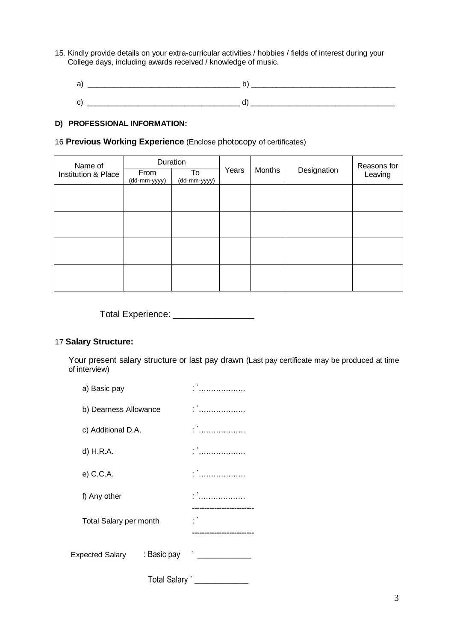- 15. Kindly provide details on your extra-curricular activities / hobbies / fields of interest during your College days, including awards received / knowledge of music.
	- a) \_\_\_\_\_\_\_\_\_\_\_\_\_\_\_\_\_\_\_\_\_\_\_\_\_\_\_\_\_\_\_\_\_\_\_\_ b) \_\_\_\_\_\_\_\_\_\_\_\_\_\_\_\_\_\_\_\_\_\_\_\_\_\_\_\_\_\_\_\_\_\_  $c)$   $\qquad \qquad$   $\qquad \qquad$   $\qquad \qquad$   $\qquad$   $\qquad \qquad$   $\qquad \qquad$   $\qquad \qquad$   $\qquad \qquad$   $\qquad \qquad$   $\qquad \qquad$

# **D) PROFESSIONAL INFORMATION:**

### 16 **Previous Working Experience** (Enclose photocopy of certificates)

| Name of                        | Duration             |                    |       |        |             | Reasons for |  |
|--------------------------------|----------------------|--------------------|-------|--------|-------------|-------------|--|
| <b>Institution &amp; Place</b> | From<br>(dd-mm-yyyy) | To<br>(dd-mm-yyyy) | Years | Months | Designation | Leaving     |  |
|                                |                      |                    |       |        |             |             |  |
|                                |                      |                    |       |        |             |             |  |
|                                |                      |                    |       |        |             |             |  |
|                                |                      |                    |       |        |             |             |  |
|                                |                      |                    |       |        |             |             |  |
|                                |                      |                    |       |        |             |             |  |
|                                |                      |                    |       |        |             |             |  |
|                                |                      |                    |       |        |             |             |  |

Total Experience: \_\_\_\_\_\_\_\_\_\_\_\_\_\_\_\_\_\_

## 17 **Salary Structure:**

Your present salary structure or last pay drawn (Last pay certificate may be produced at time of interview)

| a) Basic pay           |                       |          |  |
|------------------------|-----------------------|----------|--|
|                        | b) Dearness Allowance |          |  |
|                        | c) Additional D.A.    |          |  |
| d) H.R.A.              |                       | . \<br>. |  |
| e) C.C.A.              |                       |          |  |
| f) Any other           | . \<br>.              |          |  |
| Total Salary per month |                       |          |  |
|                        |                       |          |  |
|                        | Total Salary          |          |  |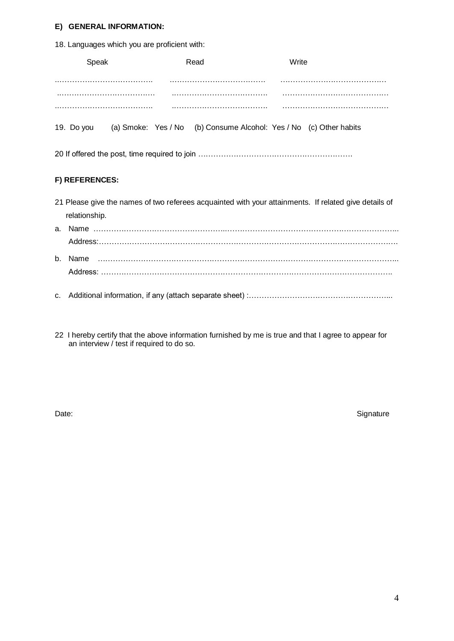#### **E) GENERAL INFORMATION:**

18. Languages which you are proficient with:

|            | Speak          | Read                                                               | Write |                                                                                                       |  |  |  |
|------------|----------------|--------------------------------------------------------------------|-------|-------------------------------------------------------------------------------------------------------|--|--|--|
|            |                |                                                                    |       |                                                                                                       |  |  |  |
|            |                |                                                                    |       |                                                                                                       |  |  |  |
|            |                |                                                                    |       |                                                                                                       |  |  |  |
| 19. Do you |                | (a) Smoke: Yes / No (b) Consume Alcohol: Yes / No (c) Other habits |       |                                                                                                       |  |  |  |
|            |                |                                                                    |       |                                                                                                       |  |  |  |
|            | F) REFERENCES: |                                                                    |       |                                                                                                       |  |  |  |
|            |                |                                                                    |       | 21 Please give the names of two referees acquainted with your attainments. If related give details of |  |  |  |
|            | relationship.  |                                                                    |       |                                                                                                       |  |  |  |
|            |                |                                                                    |       |                                                                                                       |  |  |  |
|            |                |                                                                    |       |                                                                                                       |  |  |  |
| $b_{1}$    |                |                                                                    |       |                                                                                                       |  |  |  |

Address: …………………………………………………………………………………………………….

c. Additional information, if any (attach separate sheet) :………………………………………………...

22 I hereby certify that the above information furnished by me is true and that I agree to appear for an interview / test if required to do so.

Date: Signature